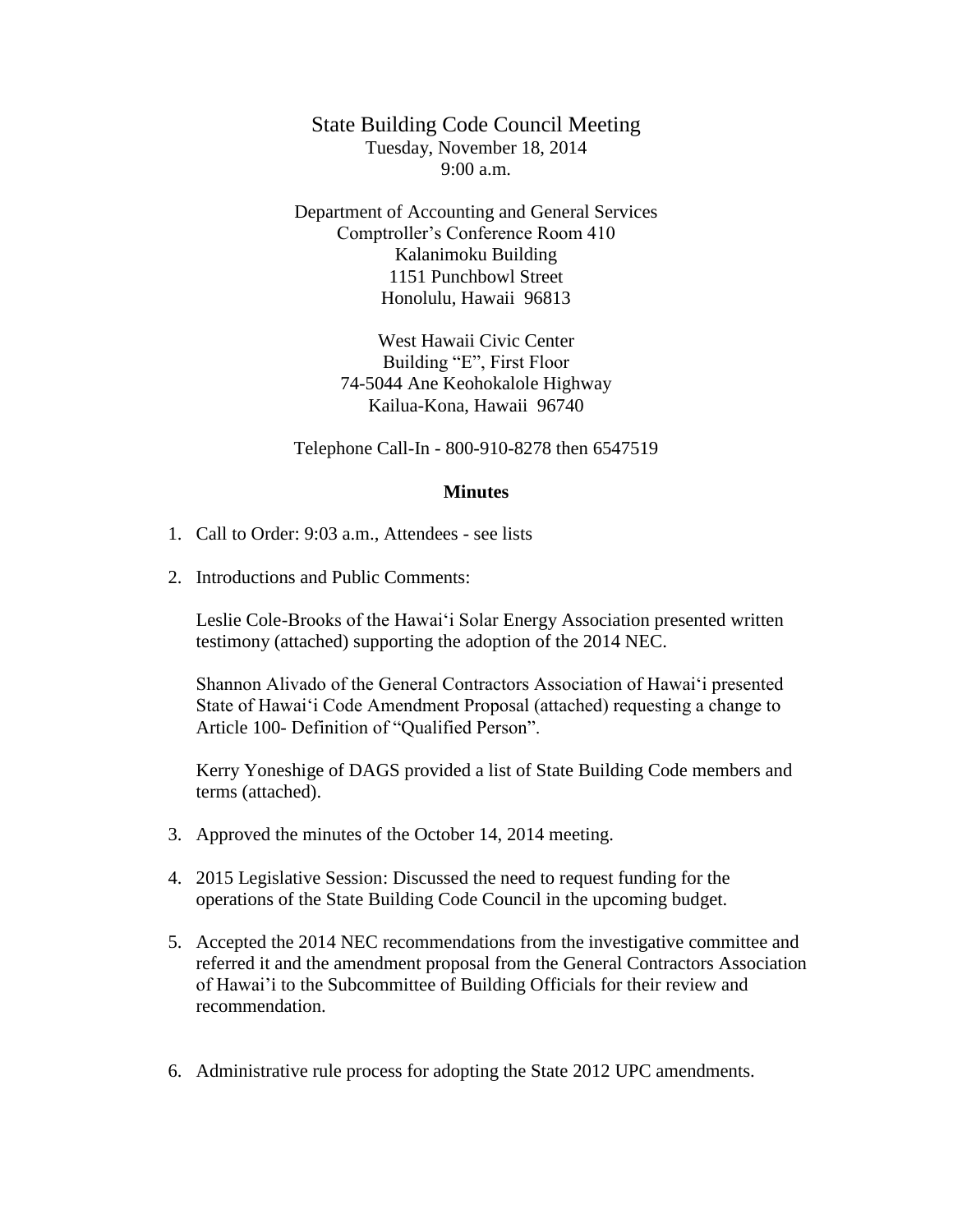State Building Code Council Meeting Tuesday, November 18, 2014 9:00 a.m.

Department of Accounting and General Services Comptroller's Conference Room 410 Kalanimoku Building 1151 Punchbowl Street Honolulu, Hawaii 96813

> West Hawaii Civic Center Building "E", First Floor 74-5044 Ane Keohokalole Highway Kailua-Kona, Hawaii 96740

Telephone Call-In - 800-910-8278 then 6547519

## **Minutes**

- 1. Call to Order: 9:03 a.m., Attendees see lists
- 2. Introductions and Public Comments:

Leslie Cole-Brooks of the Hawai'i Solar Energy Association presented written testimony (attached) supporting the adoption of the 2014 NEC.

Shannon Alivado of the General Contractors Association of Hawai'i presented State of Hawai'i Code Amendment Proposal (attached) requesting a change to Article 100- Definition of "Qualified Person".

Kerry Yoneshige of DAGS provided a list of State Building Code members and terms (attached).

- 3. Approved the minutes of the October 14, 2014 meeting.
- 4. 2015 Legislative Session: Discussed the need to request funding for the operations of the State Building Code Council in the upcoming budget.
- 5. Accepted the 2014 NEC recommendations from the investigative committee and referred it and the amendment proposal from the General Contractors Association of Hawai'i to the Subcommittee of Building Officials for their review and recommendation.
- 6. Administrative rule process for adopting the State 2012 UPC amendments.